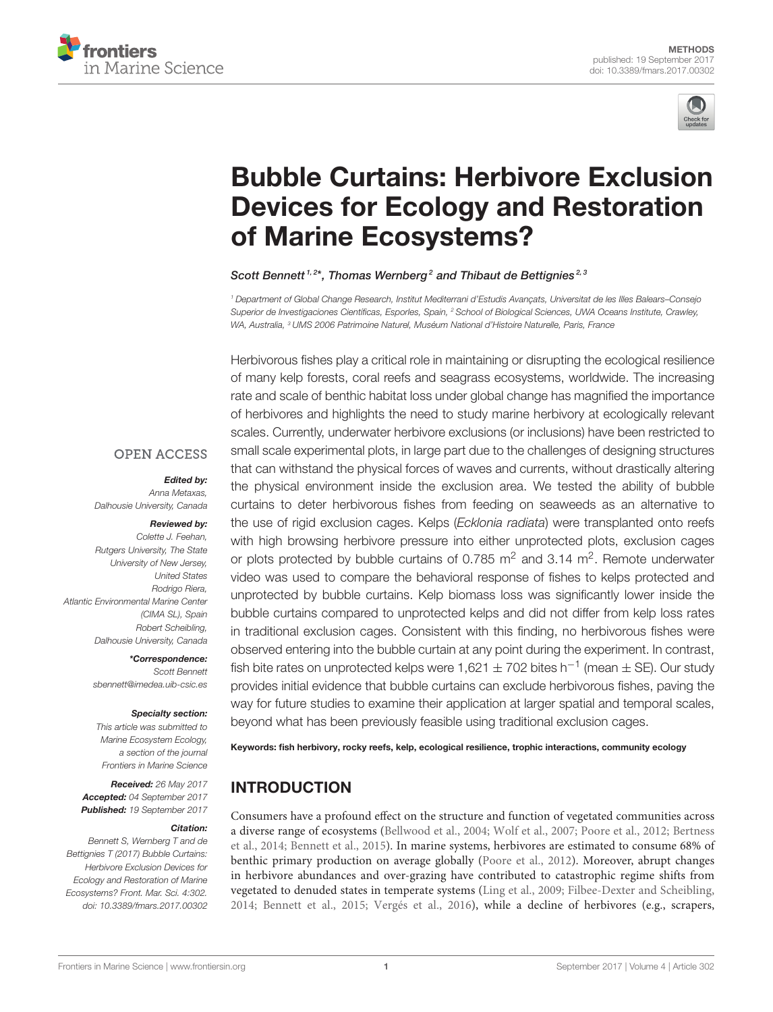



# Bubble Curtains: Herbivore Exclusion [Devices for Ecology and Restoration](http://journal.frontiersin.org/article/10.3389/fmars.2017.00302/abstract) of Marine Ecosystems?

[Scott Bennett](http://loop.frontiersin.org/people/413370/overview)<sup>1,2\*</sup>, [Thomas Wernberg](http://loop.frontiersin.org/people/139805/overview)<sup>2</sup> and [Thibaut de Bettignies](http://loop.frontiersin.org/people/141361/overview)<sup>2,3</sup>

<sup>1</sup> Department of Global Change Research, Institut Mediterrani d'Estudis Avançats, Universitat de les Illes Balears–Consejo Superior de Investigaciones Científicas, Esporles, Spain, <sup>2</sup> School of Biological Sciences, UWA Oceans Institute, Crawley, WA, Australia, <sup>3</sup> UMS 2006 Patrimoine Naturel, Muséum National d'Histoire Naturelle, Paris, France

Herbivorous fishes play a critical role in maintaining or disrupting the ecological resilience of many kelp forests, coral reefs and seagrass ecosystems, worldwide. The increasing rate and scale of benthic habitat loss under global change has magnified the importance of herbivores and highlights the need to study marine herbivory at ecologically relevant scales. Currently, underwater herbivore exclusions (or inclusions) have been restricted to small scale experimental plots, in large part due to the challenges of designing structures that can withstand the physical forces of waves and currents, without drastically altering the physical environment inside the exclusion area. We tested the ability of bubble curtains to deter herbivorous fishes from feeding on seaweeds as an alternative to the use of rigid exclusion cages. Kelps (Ecklonia radiata) were transplanted onto reefs with high browsing herbivore pressure into either unprotected plots, exclusion cages or plots protected by bubble curtains of 0.785  $\text{m}^2$  and 3.14  $\text{m}^2$ . Remote underwater video was used to compare the behavioral response of fishes to kelps protected and unprotected by bubble curtains. Kelp biomass loss was significantly lower inside the bubble curtains compared to unprotected kelps and did not differ from kelp loss rates in traditional exclusion cages. Consistent with this finding, no herbivorous fishes were observed entering into the bubble curtain at any point during the experiment. In contrast, fish bite rates on unprotected kelps were 1,621  $\pm$  702 bites h<sup>-1</sup> (mean  $\pm$  SE). Our study provides initial evidence that bubble curtains can exclude herbivorous fishes, paving the way for future studies to examine their application at larger spatial and temporal scales, beyond what has been previously feasible using traditional exclusion cages.

Keywords: fish herbivory, rocky reefs, kelp, ecological resilience, trophic interactions, community ecology

# INTRODUCTION

Consumers have a profound effect on the structure and function of vegetated communities across a diverse range of ecosystems [\(Bellwood et al., 2004;](#page-6-0) [Wolf et al., 2007;](#page-7-0) [Poore et al., 2012;](#page-6-1) Bertness et al., [2014;](#page-6-2) [Bennett et al., 2015\)](#page-6-3). In marine systems, herbivores are estimated to consume 68% of benthic primary production on average globally [\(Poore et al., 2012\)](#page-6-1). Moreover, abrupt changes in herbivore abundances and over-grazing have contributed to catastrophic regime shifts from vegetated to denuded states in temperate systems [\(Ling et al., 2009;](#page-6-4) [Filbee-Dexter and Scheibling,](#page-6-5) [2014;](#page-6-5) [Bennett et al., 2015;](#page-6-3) [Vergés et al., 2016\)](#page-7-1), while a decline of herbivores (e.g., scrapers,

#### **OPEN ACCESS**

#### Edited by:

Anna Metaxas, Dalhousie University, Canada

#### Reviewed by:

Colette J. Feehan, Rutgers University, The State University of New Jersey, United States Rodrigo Riera, Atlantic Environmental Marine Center (CIMA SL), Spain Robert Scheibling, Dalhousie University, Canada

> \*Correspondence: Scott Bennett [sbennett@imedea.uib-csic.es](mailto:sbennett@imedea.uib-csic.es)

#### Specialty section:

This article was submitted to Marine Ecosystem Ecology, a section of the journal Frontiers in Marine Science

Received: 26 May 2017 Accepted: 04 September 2017 Published: 19 September 2017

#### Citation:

Bennett S, Wernberg T and de Bettignies T (2017) Bubble Curtains: Herbivore Exclusion Devices for Ecology and Restoration of Marine Ecosystems? Front. Mar. Sci. 4:302. doi: [10.3389/fmars.2017.00302](https://doi.org/10.3389/fmars.2017.00302)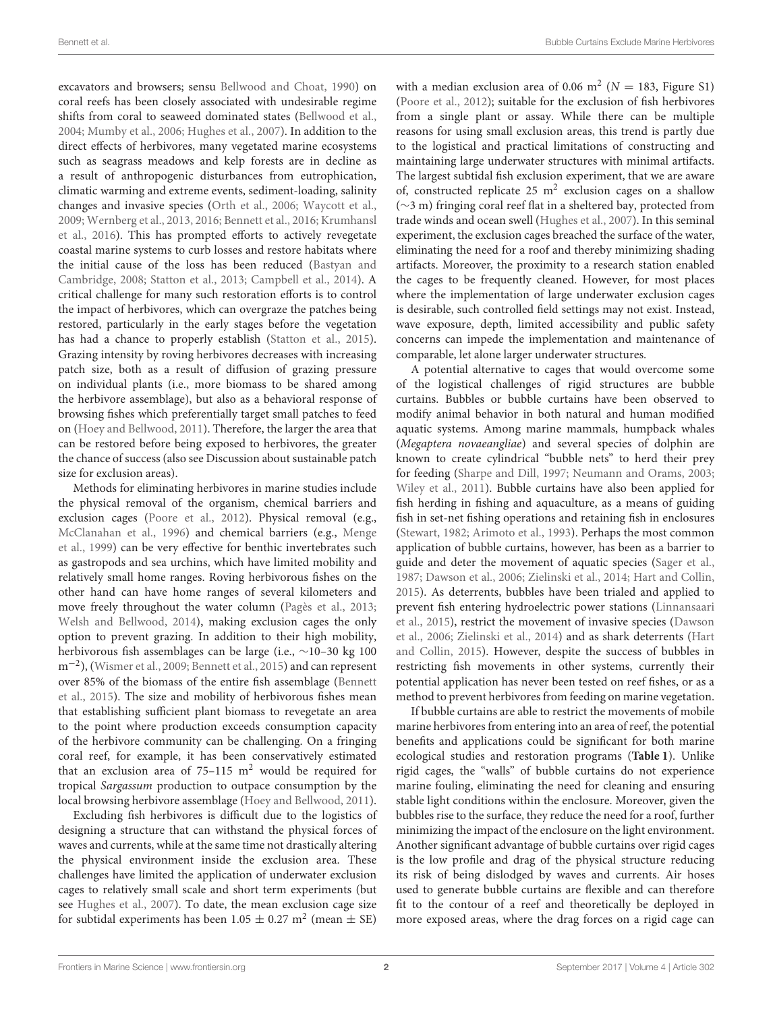excavators and browsers; sensu [Bellwood and Choat, 1990\)](#page-6-6) on coral reefs has been closely associated with undesirable regime shifts from coral to seaweed dominated states [\(Bellwood et al.,](#page-6-0) [2004;](#page-6-0) [Mumby et al., 2006;](#page-6-7) [Hughes et al., 2007\)](#page-6-8). In addition to the direct effects of herbivores, many vegetated marine ecosystems such as seagrass meadows and kelp forests are in decline as a result of anthropogenic disturbances from eutrophication, climatic warming and extreme events, sediment-loading, salinity changes and invasive species [\(Orth et al., 2006;](#page-6-9) [Waycott et al.,](#page-7-2) [2009;](#page-7-2) [Wernberg et al., 2013,](#page-7-3) [2016;](#page-7-4) [Bennett et al., 2016;](#page-6-10) Krumhansl et al., [2016\)](#page-6-11). This has prompted efforts to actively revegetate coastal marine systems to curb losses and restore habitats where the initial cause of the loss has been reduced (Bastyan and Cambridge, [2008;](#page-6-12) [Statton et al., 2013;](#page-6-13) [Campbell et al., 2014\)](#page-6-14). A critical challenge for many such restoration efforts is to control the impact of herbivores, which can overgraze the patches being restored, particularly in the early stages before the vegetation has had a chance to properly establish [\(Statton et al., 2015\)](#page-6-15). Grazing intensity by roving herbivores decreases with increasing patch size, both as a result of diffusion of grazing pressure on individual plants (i.e., more biomass to be shared among the herbivore assemblage), but also as a behavioral response of browsing fishes which preferentially target small patches to feed on [\(Hoey and Bellwood, 2011\)](#page-6-16). Therefore, the larger the area that can be restored before being exposed to herbivores, the greater the chance of success (also see Discussion about sustainable patch size for exclusion areas).

Methods for eliminating herbivores in marine studies include the physical removal of the organism, chemical barriers and exclusion cages [\(Poore et al., 2012\)](#page-6-1). Physical removal (e.g., [McClanahan et al., 1996\)](#page-6-17) and chemical barriers (e.g., Menge et al., [1999\)](#page-6-18) can be very effective for benthic invertebrates such as gastropods and sea urchins, which have limited mobility and relatively small home ranges. Roving herbivorous fishes on the other hand can have home ranges of several kilometers and move freely throughout the water column [\(Pagès et al., 2013;](#page-6-19) [Welsh and Bellwood, 2014\)](#page-7-5), making exclusion cages the only option to prevent grazing. In addition to their high mobility, herbivorous fish assemblages can be large (i.e., ∼10–30 kg 100 m−<sup>2</sup> ), [\(Wismer et al., 2009;](#page-7-6) [Bennett et al., 2015\)](#page-6-3) and can represent over 85% of the biomass of the entire fish assemblage (Bennett et al., [2015\)](#page-6-3). The size and mobility of herbivorous fishes mean that establishing sufficient plant biomass to revegetate an area to the point where production exceeds consumption capacity of the herbivore community can be challenging. On a fringing coral reef, for example, it has been conservatively estimated that an exclusion area of  $75-115$  m<sup>2</sup> would be required for tropical Sargassum production to outpace consumption by the local browsing herbivore assemblage [\(Hoey and Bellwood, 2011\)](#page-6-16).

Excluding fish herbivores is difficult due to the logistics of designing a structure that can withstand the physical forces of waves and currents, while at the same time not drastically altering the physical environment inside the exclusion area. These challenges have limited the application of underwater exclusion cages to relatively small scale and short term experiments (but see [Hughes et al., 2007\)](#page-6-8). To date, the mean exclusion cage size for subtidal experiments has been  $1.05 \pm 0.27$  m<sup>2</sup> (mean  $\pm$  SE)

with a median exclusion area of 0.06 m<sup>2</sup> ( $N = 183$ , Figure S1) [\(Poore et al., 2012\)](#page-6-1); suitable for the exclusion of fish herbivores from a single plant or assay. While there can be multiple reasons for using small exclusion areas, this trend is partly due to the logistical and practical limitations of constructing and maintaining large underwater structures with minimal artifacts. The largest subtidal fish exclusion experiment, that we are aware of, constructed replicate  $25 \text{ m}^2$  exclusion cages on a shallow (∼3 m) fringing coral reef flat in a sheltered bay, protected from trade winds and ocean swell [\(Hughes et al., 2007\)](#page-6-8). In this seminal experiment, the exclusion cages breached the surface of the water, eliminating the need for a roof and thereby minimizing shading artifacts. Moreover, the proximity to a research station enabled the cages to be frequently cleaned. However, for most places where the implementation of large underwater exclusion cages is desirable, such controlled field settings may not exist. Instead, wave exposure, depth, limited accessibility and public safety concerns can impede the implementation and maintenance of comparable, let alone larger underwater structures.

A potential alternative to cages that would overcome some of the logistical challenges of rigid structures are bubble curtains. Bubbles or bubble curtains have been observed to modify animal behavior in both natural and human modified aquatic systems. Among marine mammals, humpback whales (Megaptera novaeangliae) and several species of dolphin are known to create cylindrical "bubble nets" to herd their prey for feeding [\(Sharpe and Dill, 1997;](#page-6-20) [Neumann and Orams, 2003;](#page-6-21) [Wiley et al., 2011\)](#page-7-7). Bubble curtains have also been applied for fish herding in fishing and aquaculture, as a means of guiding fish in set-net fishing operations and retaining fish in enclosures [\(Stewart, 1982;](#page-6-22) [Arimoto et al., 1993\)](#page-6-23). Perhaps the most common application of bubble curtains, however, has been as a barrier to guide and deter the movement of aquatic species [\(Sager et al.,](#page-6-24) [1987;](#page-6-24) [Dawson et al., 2006;](#page-6-25) [Zielinski et al., 2014;](#page-7-8) [Hart and Collin,](#page-6-26) [2015\)](#page-6-26). As deterrents, bubbles have been trialed and applied to prevent fish entering hydroelectric power stations (Linnansaari et al., [2015\)](#page-6-27), restrict the movement of invasive species (Dawson et al., [2006;](#page-6-25) [Zielinski et al., 2014\)](#page-7-8) and as shark deterrents (Hart and Collin, [2015\)](#page-6-26). However, despite the success of bubbles in restricting fish movements in other systems, currently their potential application has never been tested on reef fishes, or as a method to prevent herbivores from feeding on marine vegetation.

If bubble curtains are able to restrict the movements of mobile marine herbivores from entering into an area of reef, the potential benefits and applications could be significant for both marine ecological studies and restoration programs (**[Table 1](#page-2-0)**). Unlike rigid cages, the "walls" of bubble curtains do not experience marine fouling, eliminating the need for cleaning and ensuring stable light conditions within the enclosure. Moreover, given the bubbles rise to the surface, they reduce the need for a roof, further minimizing the impact of the enclosure on the light environment. Another significant advantage of bubble curtains over rigid cages is the low profile and drag of the physical structure reducing its risk of being dislodged by waves and currents. Air hoses used to generate bubble curtains are flexible and can therefore fit to the contour of a reef and theoretically be deployed in more exposed areas, where the drag forces on a rigid cage can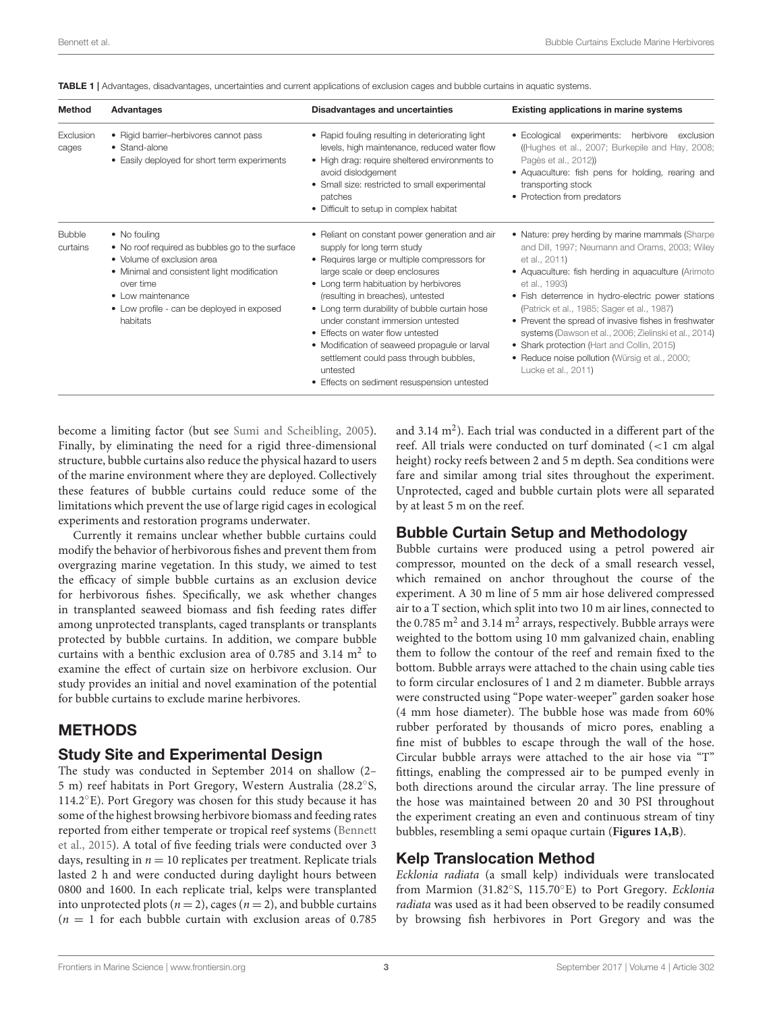| <b>Method</b>             | Advantages                                                                                                                                                                                                                                       | <b>Disadvantages and uncertainties</b>                                                                                                                                                                                                                                                                                                                                                                                                                                                                                       | Existing applications in marine systems                                                                                                                                                                                                                                                                                                                                                                                                                                                                                                  |
|---------------------------|--------------------------------------------------------------------------------------------------------------------------------------------------------------------------------------------------------------------------------------------------|------------------------------------------------------------------------------------------------------------------------------------------------------------------------------------------------------------------------------------------------------------------------------------------------------------------------------------------------------------------------------------------------------------------------------------------------------------------------------------------------------------------------------|------------------------------------------------------------------------------------------------------------------------------------------------------------------------------------------------------------------------------------------------------------------------------------------------------------------------------------------------------------------------------------------------------------------------------------------------------------------------------------------------------------------------------------------|
| Exclusion<br>cages        | • Rigid barrier-herbivores cannot pass<br>• Stand-alone<br>• Easily deployed for short term experiments                                                                                                                                          | • Rapid fouling resulting in deteriorating light<br>levels, high maintenance, reduced water flow<br>• High drag: require sheltered environments to<br>avoid dislodgement<br>• Small size: restricted to small experimental<br>patches<br>• Difficult to setup in complex habitat                                                                                                                                                                                                                                             | experiments: herbivore<br>• Ecological<br>exclusion<br>(Hughes et al., 2007; Burkepile and Hay, 2008;<br>Pagès et al., 2012)<br>• Aquaculture: fish pens for holding, rearing and<br>transporting stock<br>• Protection from predators                                                                                                                                                                                                                                                                                                   |
| <b>Bubble</b><br>curtains | • No fouling<br>• No roof required as bubbles go to the surface<br>• Volume of exclusion area<br>• Minimal and consistent light modification<br>over time<br>$\bullet$ Low maintenance<br>• Low profile - can be deployed in exposed<br>habitats | • Reliant on constant power generation and air<br>supply for long term study<br>• Requires large or multiple compressors for<br>large scale or deep enclosures<br>• Long term habituation by herbivores<br>(resulting in breaches), untested<br>• Long term durability of bubble curtain hose<br>under constant immersion untested<br>• Effects on water flow untested<br>• Modification of seaweed propagule or larval<br>settlement could pass through bubbles,<br>untested<br>• Effects on sediment resuspension untested | • Nature: prey herding by marine mammals (Sharpe<br>and Dill, 1997; Neumann and Orams, 2003; Wiley<br>et al., 2011)<br>• Aquaculture: fish herding in aquaculture (Arimoto<br>et al., 1993)<br>• Fish deterrence in hydro-electric power stations<br>(Patrick et al., 1985; Sager et al., 1987)<br>• Prevent the spread of invasive fishes in freshwater<br>systems (Dawson et al., 2006; Zielinski et al., 2014)<br>• Shark protection (Hart and Collin, 2015)<br>• Reduce noise pollution (Würsig et al., 2000;<br>Lucke et al., 2011) |

<span id="page-2-0"></span>TABLE 1 | Advantages, disadvantages, uncertainties and current applications of exclusion cages and bubble curtains in aquatic systems.

become a limiting factor (but see [Sumi and Scheibling, 2005\)](#page-7-10). Finally, by eliminating the need for a rigid three-dimensional structure, bubble curtains also reduce the physical hazard to users of the marine environment where they are deployed. Collectively these features of bubble curtains could reduce some of the limitations which prevent the use of large rigid cages in ecological experiments and restoration programs underwater.

Currently it remains unclear whether bubble curtains could modify the behavior of herbivorous fishes and prevent them from overgrazing marine vegetation. In this study, we aimed to test the efficacy of simple bubble curtains as an exclusion device for herbivorous fishes. Specifically, we ask whether changes in transplanted seaweed biomass and fish feeding rates differ among unprotected transplants, caged transplants or transplants protected by bubble curtains. In addition, we compare bubble curtains with a benthic exclusion area of 0.785 and 3.14  $m<sup>2</sup>$  to examine the effect of curtain size on herbivore exclusion. Our study provides an initial and novel examination of the potential for bubble curtains to exclude marine herbivores.

## METHODS

### Study Site and Experimental Design

The study was conducted in September 2014 on shallow (2– 5 m) reef habitats in Port Gregory, Western Australia (28.2◦ S, 114.2◦E). Port Gregory was chosen for this study because it has some of the highest browsing herbivore biomass and feeding rates reported from either temperate or tropical reef systems (Bennett et al., [2015\)](#page-6-3). A total of five feeding trials were conducted over 3 days, resulting in  $n = 10$  replicates per treatment. Replicate trials lasted 2 h and were conducted during daylight hours between 0800 and 1600. In each replicate trial, kelps were transplanted into unprotected plots ( $n = 2$ ), cages ( $n = 2$ ), and bubble curtains  $(n = 1)$  for each bubble curtain with exclusion areas of 0.785

and  $3.14 \text{ m}^2$ ). Each trial was conducted in a different part of the reef. All trials were conducted on turf dominated (<1 cm algal height) rocky reefs between 2 and 5 m depth. Sea conditions were fare and similar among trial sites throughout the experiment. Unprotected, caged and bubble curtain plots were all separated by at least 5 m on the reef.

## Bubble Curtain Setup and Methodology

Bubble curtains were produced using a petrol powered air compressor, mounted on the deck of a small research vessel, which remained on anchor throughout the course of the experiment. A 30 m line of 5 mm air hose delivered compressed air to a T section, which split into two 10 m air lines, connected to the 0.785  $m^2$  and 3.14  $m^2$  arrays, respectively. Bubble arrays were weighted to the bottom using 10 mm galvanized chain, enabling them to follow the contour of the reef and remain fixed to the bottom. Bubble arrays were attached to the chain using cable ties to form circular enclosures of 1 and 2 m diameter. Bubble arrays were constructed using "Pope water-weeper" garden soaker hose (4 mm hose diameter). The bubble hose was made from 60% rubber perforated by thousands of micro pores, enabling a fine mist of bubbles to escape through the wall of the hose. Circular bubble arrays were attached to the air hose via "T" fittings, enabling the compressed air to be pumped evenly in both directions around the circular array. The line pressure of the hose was maintained between 20 and 30 PSI throughout the experiment creating an even and continuous stream of tiny bubbles, resembling a semi opaque curtain (**[Figures 1A,B](#page-3-0)**).

## Kelp Translocation Method

Ecklonia radiata (a small kelp) individuals were translocated from Marmion (31.82°S, 115.70°E) to Port Gregory. Ecklonia radiata was used as it had been observed to be readily consumed by browsing fish herbivores in Port Gregory and was the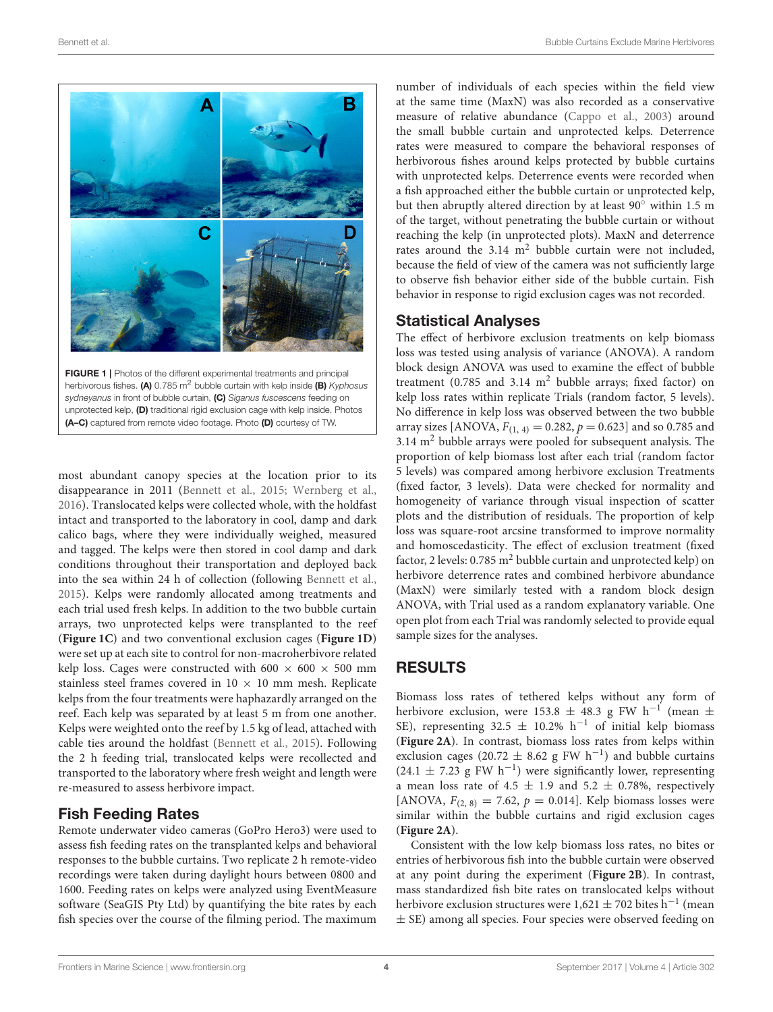

<span id="page-3-0"></span>FIGURE 1 | Photos of the different experimental treatments and principal herbivorous fishes. (A) 0.785 m<sup>2</sup> bubble curtain with kelp inside (B) Kyphosus sydneyanus in front of bubble curtain, (C) Siganus fuscescens feeding on unprotected kelp, (D) traditional rigid exclusion cage with kelp inside. Photos (A–C) captured from remote video footage. Photo (D) courtesy of TW.

most abundant canopy species at the location prior to its disappearance in 2011 [\(Bennett et al., 2015;](#page-6-3) [Wernberg et al.,](#page-7-4) [2016\)](#page-7-4). Translocated kelps were collected whole, with the holdfast intact and transported to the laboratory in cool, damp and dark calico bags, where they were individually weighed, measured and tagged. The kelps were then stored in cool damp and dark conditions throughout their transportation and deployed back into the sea within 24 h of collection (following [Bennett et al.,](#page-6-3) [2015\)](#page-6-3). Kelps were randomly allocated among treatments and each trial used fresh kelps. In addition to the two bubble curtain arrays, two unprotected kelps were transplanted to the reef (**[Figure 1C](#page-3-0)**) and two conventional exclusion cages (**[Figure 1D](#page-3-0)**) were set up at each site to control for non-macroherbivore related kelp loss. Cages were constructed with 600  $\times$  600  $\times$  500 mm stainless steel frames covered in  $10 \times 10$  mm mesh. Replicate kelps from the four treatments were haphazardly arranged on the reef. Each kelp was separated by at least 5 m from one another. Kelps were weighted onto the reef by 1.5 kg of lead, attached with cable ties around the holdfast [\(Bennett et al., 2015\)](#page-6-3). Following the 2 h feeding trial, translocated kelps were recollected and transported to the laboratory where fresh weight and length were re-measured to assess herbivore impact.

# Fish Feeding Rates

Remote underwater video cameras (GoPro Hero3) were used to assess fish feeding rates on the transplanted kelps and behavioral responses to the bubble curtains. Two replicate 2 h remote-video recordings were taken during daylight hours between 0800 and 1600. Feeding rates on kelps were analyzed using EventMeasure software (SeaGIS Pty Ltd) by quantifying the bite rates by each fish species over the course of the filming period. The maximum

number of individuals of each species within the field view at the same time (MaxN) was also recorded as a conservative measure of relative abundance [\(Cappo et al., 2003\)](#page-6-32) around the small bubble curtain and unprotected kelps. Deterrence rates were measured to compare the behavioral responses of herbivorous fishes around kelps protected by bubble curtains with unprotected kelps. Deterrence events were recorded when a fish approached either the bubble curtain or unprotected kelp, but then abruptly altered direction by at least 90◦ within 1.5 m of the target, without penetrating the bubble curtain or without reaching the kelp (in unprotected plots). MaxN and deterrence rates around the  $3.14 \text{ m}^2$  bubble curtain were not included, because the field of view of the camera was not sufficiently large to observe fish behavior either side of the bubble curtain. Fish behavior in response to rigid exclusion cages was not recorded.

## Statistical Analyses

The effect of herbivore exclusion treatments on kelp biomass loss was tested using analysis of variance (ANOVA). A random block design ANOVA was used to examine the effect of bubble treatment  $(0.785$  and  $3.14 \text{ m}^2$  bubble arrays; fixed factor) on kelp loss rates within replicate Trials (random factor, 5 levels). No difference in kelp loss was observed between the two bubble array sizes [ANOVA,  $F_{(1, 4)} = 0.282$ ,  $p = 0.623$ ] and so 0.785 and  $3.14 \text{ m}^2$  bubble arrays were pooled for subsequent analysis. The proportion of kelp biomass lost after each trial (random factor 5 levels) was compared among herbivore exclusion Treatments (fixed factor, 3 levels). Data were checked for normality and homogeneity of variance through visual inspection of scatter plots and the distribution of residuals. The proportion of kelp loss was square-root arcsine transformed to improve normality and homoscedasticity. The effect of exclusion treatment (fixed factor, 2 levels:  $0.785 \text{ m}^2$  bubble curtain and unprotected kelp) on herbivore deterrence rates and combined herbivore abundance (MaxN) were similarly tested with a random block design ANOVA, with Trial used as a random explanatory variable. One open plot from each Trial was randomly selected to provide equal sample sizes for the analyses.

# RESULTS

Biomass loss rates of tethered kelps without any form of herbivore exclusion, were 153.8  $\pm$  48.3 g FW h<sup>-1</sup> (mean  $\pm$ SE), representing 32.5  $\pm$  10.2% h<sup>-1</sup> of initial kelp biomass (**[Figure 2A](#page-4-0)**). In contrast, biomass loss rates from kelps within exclusion cages (20.72  $\pm$  8.62 g FW h<sup>-1</sup>) and bubble curtains (24.1 ± 7.23 g FW h−<sup>1</sup> ) were significantly lower, representing a mean loss rate of 4.5  $\pm$  1.9 and 5.2  $\pm$  0.78%, respectively [ANOVA,  $F_{(2, 8)} = 7.62$ ,  $p = 0.014$ ]. Kelp biomass losses were similar within the bubble curtains and rigid exclusion cages (**[Figure 2A](#page-4-0)**).

Consistent with the low kelp biomass loss rates, no bites or entries of herbivorous fish into the bubble curtain were observed at any point during the experiment (**[Figure 2B](#page-4-0)**). In contrast, mass standardized fish bite rates on translocated kelps without herbivore exclusion structures were  $1,621 \pm 702$  bites  $h^{-1}$  (mean ± SE) among all species. Four species were observed feeding on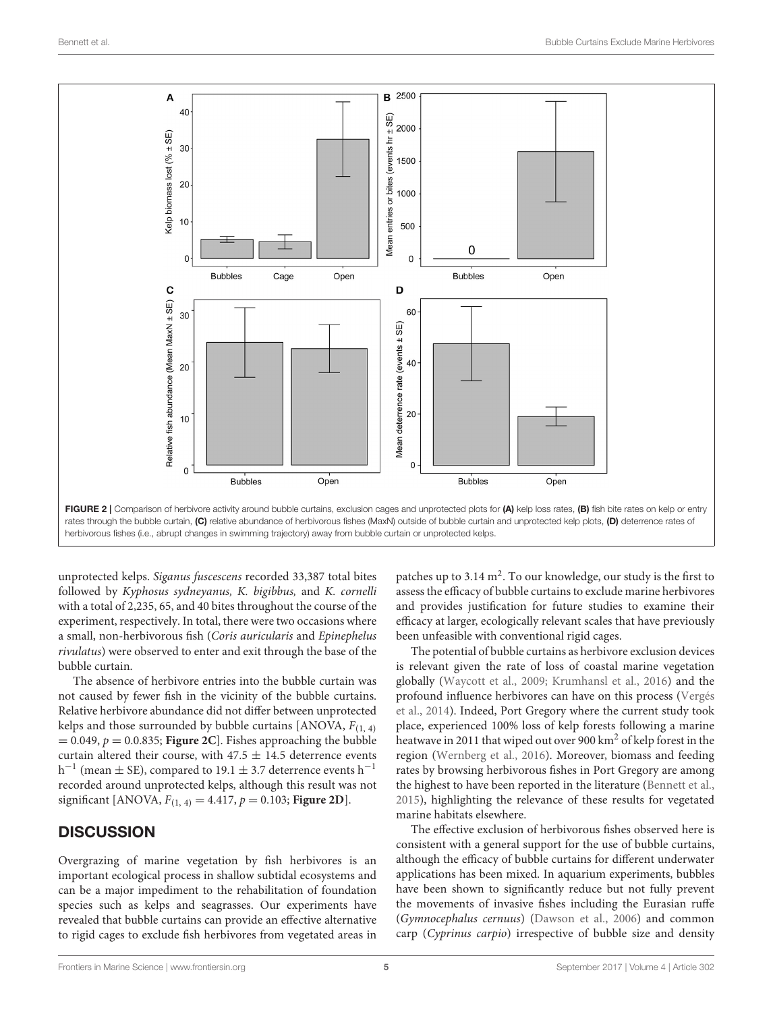

<span id="page-4-0"></span>unprotected kelps. Siganus fuscescens recorded 33,387 total bites followed by Kyphosus sydneyanus, K. bigibbus, and K. cornelli with a total of 2,235, 65, and 40 bites throughout the course of the experiment, respectively. In total, there were two occasions where a small, non-herbivorous fish (Coris auricularis and Epinephelus rivulatus) were observed to enter and exit through the base of the bubble curtain.

The absence of herbivore entries into the bubble curtain was not caused by fewer fish in the vicinity of the bubble curtains. Relative herbivore abundance did not differ between unprotected kelps and those surrounded by bubble curtains [ANOVA,  $F_{(1, 4)}$  $= 0.049$ ,  $p = 0.0.835$ ; **[Figure 2C](#page-4-0)**]. Fishes approaching the bubble curtain altered their course, with  $47.5 \pm 14.5$  deterrence events h<sup>-1</sup> (mean  $\pm$  SE), compared to 19.1  $\pm$  3.7 deterrence events h<sup>-1</sup> recorded around unprotected kelps, although this result was not significant [ANOVA,  $F_{(1, 4)} = 4.417$ ,  $p = 0.103$ ; **[Figure 2D](#page-4-0)**].

# **DISCUSSION**

Overgrazing of marine vegetation by fish herbivores is an important ecological process in shallow subtidal ecosystems and can be a major impediment to the rehabilitation of foundation species such as kelps and seagrasses. Our experiments have revealed that bubble curtains can provide an effective alternative to rigid cages to exclude fish herbivores from vegetated areas in

patches up to  $3.14 \text{ m}^2$ . To our knowledge, our study is the first to assess the efficacy of bubble curtains to exclude marine herbivores and provides justification for future studies to examine their efficacy at larger, ecologically relevant scales that have previously been unfeasible with conventional rigid cages.

The potential of bubble curtains as herbivore exclusion devices is relevant given the rate of loss of coastal marine vegetation globally [\(Waycott et al., 2009;](#page-7-2) [Krumhansl et al., 2016\)](#page-6-11) and the profound influence herbivores can have on this process (Vergés et al., [2014\)](#page-7-11). Indeed, Port Gregory where the current study took place, experienced 100% loss of kelp forests following a marine heatwave in 2011 that wiped out over 900 km<sup>2</sup> of kelp forest in the region [\(Wernberg et al., 2016\)](#page-7-4). Moreover, biomass and feeding rates by browsing herbivorous fishes in Port Gregory are among the highest to have been reported in the literature [\(Bennett et al.,](#page-6-3) [2015\)](#page-6-3), highlighting the relevance of these results for vegetated marine habitats elsewhere.

The effective exclusion of herbivorous fishes observed here is consistent with a general support for the use of bubble curtains, although the efficacy of bubble curtains for different underwater applications has been mixed. In aquarium experiments, bubbles have been shown to significantly reduce but not fully prevent the movements of invasive fishes including the Eurasian ruffe (Gymnocephalus cernuus) [\(Dawson et al., 2006\)](#page-6-25) and common carp (Cyprinus carpio) irrespective of bubble size and density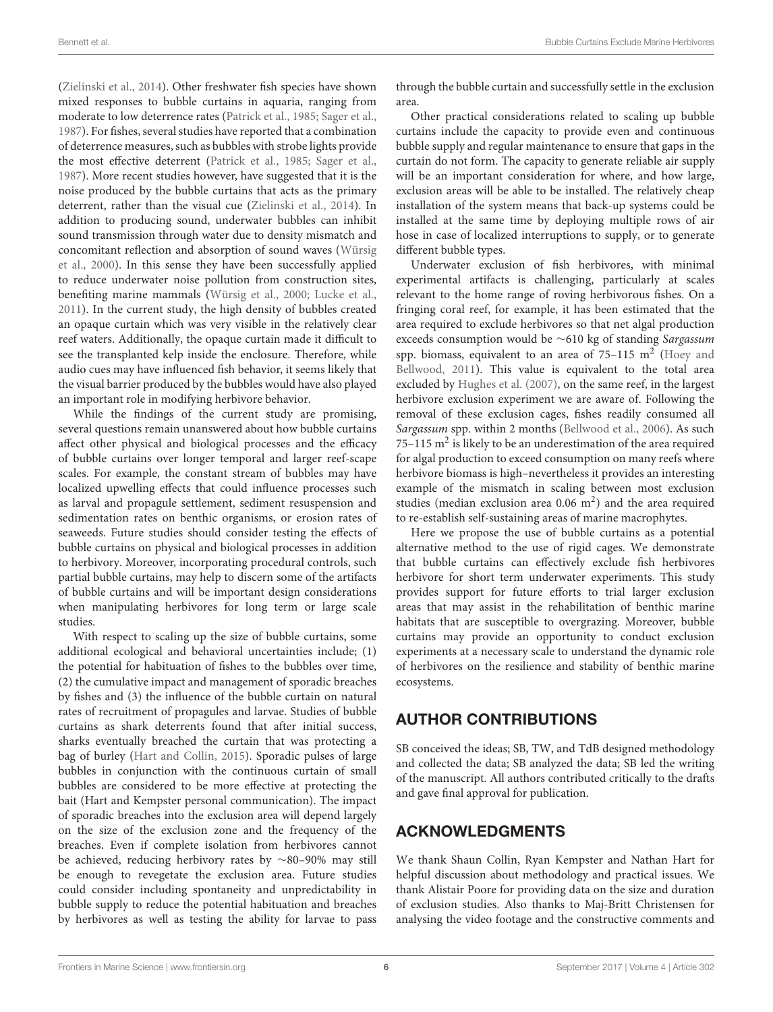[\(Zielinski et al., 2014\)](#page-7-8). Other freshwater fish species have shown mixed responses to bubble curtains in aquaria, ranging from moderate to low deterrence rates [\(Patrick et al., 1985;](#page-6-30) [Sager et al.,](#page-6-24) [1987\)](#page-6-24). For fishes, several studies have reported that a combination of deterrence measures, such as bubbles with strobe lights provide the most effective deterrent [\(Patrick et al., 1985;](#page-6-30) [Sager et al.,](#page-6-24) [1987\)](#page-6-24). More recent studies however, have suggested that it is the noise produced by the bubble curtains that acts as the primary deterrent, rather than the visual cue [\(Zielinski et al., 2014\)](#page-7-8). In addition to producing sound, underwater bubbles can inhibit sound transmission through water due to density mismatch and concomitant reflection and absorption of sound waves (Würsig et al., [2000\)](#page-7-9). In this sense they have been successfully applied to reduce underwater noise pollution from construction sites, benefiting marine mammals [\(Würsig et al., 2000;](#page-7-9) [Lucke et al.,](#page-6-31) [2011\)](#page-6-31). In the current study, the high density of bubbles created an opaque curtain which was very visible in the relatively clear reef waters. Additionally, the opaque curtain made it difficult to see the transplanted kelp inside the enclosure. Therefore, while audio cues may have influenced fish behavior, it seems likely that the visual barrier produced by the bubbles would have also played an important role in modifying herbivore behavior.

While the findings of the current study are promising, several questions remain unanswered about how bubble curtains affect other physical and biological processes and the efficacy of bubble curtains over longer temporal and larger reef-scape scales. For example, the constant stream of bubbles may have localized upwelling effects that could influence processes such as larval and propagule settlement, sediment resuspension and sedimentation rates on benthic organisms, or erosion rates of seaweeds. Future studies should consider testing the effects of bubble curtains on physical and biological processes in addition to herbivory. Moreover, incorporating procedural controls, such partial bubble curtains, may help to discern some of the artifacts of bubble curtains and will be important design considerations when manipulating herbivores for long term or large scale studies.

With respect to scaling up the size of bubble curtains, some additional ecological and behavioral uncertainties include; (1) the potential for habituation of fishes to the bubbles over time, (2) the cumulative impact and management of sporadic breaches by fishes and (3) the influence of the bubble curtain on natural rates of recruitment of propagules and larvae. Studies of bubble curtains as shark deterrents found that after initial success, sharks eventually breached the curtain that was protecting a bag of burley [\(Hart and Collin, 2015\)](#page-6-26). Sporadic pulses of large bubbles in conjunction with the continuous curtain of small bubbles are considered to be more effective at protecting the bait (Hart and Kempster personal communication). The impact of sporadic breaches into the exclusion area will depend largely on the size of the exclusion zone and the frequency of the breaches. Even if complete isolation from herbivores cannot be achieved, reducing herbivory rates by ∼80–90% may still be enough to revegetate the exclusion area. Future studies could consider including spontaneity and unpredictability in bubble supply to reduce the potential habituation and breaches by herbivores as well as testing the ability for larvae to pass through the bubble curtain and successfully settle in the exclusion area.

Other practical considerations related to scaling up bubble curtains include the capacity to provide even and continuous bubble supply and regular maintenance to ensure that gaps in the curtain do not form. The capacity to generate reliable air supply will be an important consideration for where, and how large, exclusion areas will be able to be installed. The relatively cheap installation of the system means that back-up systems could be installed at the same time by deploying multiple rows of air hose in case of localized interruptions to supply, or to generate different bubble types.

Underwater exclusion of fish herbivores, with minimal experimental artifacts is challenging, particularly at scales relevant to the home range of roving herbivorous fishes. On a fringing coral reef, for example, it has been estimated that the area required to exclude herbivores so that net algal production exceeds consumption would be ∼610 kg of standing Sargassum spp. biomass, equivalent to an area of  $75-115 \text{ m}^2$  (Hoey and Bellwood, [2011\)](#page-6-16). This value is equivalent to the total area excluded by [Hughes et al. \(2007\)](#page-6-8), on the same reef, in the largest herbivore exclusion experiment we are aware of. Following the removal of these exclusion cages, fishes readily consumed all Sargassum spp. within 2 months [\(Bellwood et al., 2006\)](#page-6-33). As such 75-115  $m<sup>2</sup>$  is likely to be an underestimation of the area required for algal production to exceed consumption on many reefs where herbivore biomass is high–nevertheless it provides an interesting example of the mismatch in scaling between most exclusion studies (median exclusion area  $0.06 \text{ m}^2$ ) and the area required to re-establish self-sustaining areas of marine macrophytes.

Here we propose the use of bubble curtains as a potential alternative method to the use of rigid cages. We demonstrate that bubble curtains can effectively exclude fish herbivores herbivore for short term underwater experiments. This study provides support for future efforts to trial larger exclusion areas that may assist in the rehabilitation of benthic marine habitats that are susceptible to overgrazing. Moreover, bubble curtains may provide an opportunity to conduct exclusion experiments at a necessary scale to understand the dynamic role of herbivores on the resilience and stability of benthic marine ecosystems.

# AUTHOR CONTRIBUTIONS

SB conceived the ideas; SB, TW, and TdB designed methodology and collected the data; SB analyzed the data; SB led the writing of the manuscript. All authors contributed critically to the drafts and gave final approval for publication.

# ACKNOWLEDGMENTS

We thank Shaun Collin, Ryan Kempster and Nathan Hart for helpful discussion about methodology and practical issues. We thank Alistair Poore for providing data on the size and duration of exclusion studies. Also thanks to Maj-Britt Christensen for analysing the video footage and the constructive comments and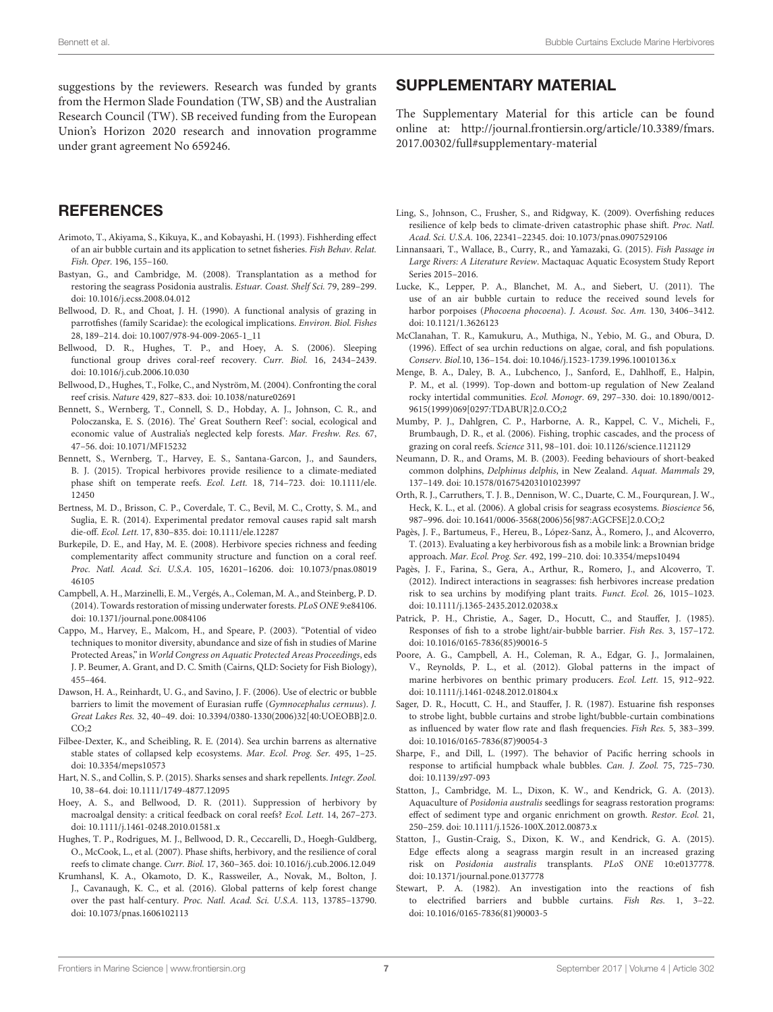suggestions by the reviewers. Research was funded by grants from the Hermon Slade Foundation (TW, SB) and the Australian Research Council (TW). SB received funding from the European Union's Horizon 2020 research and innovation programme under grant agreement No 659246.

# **REFERENCES**

- <span id="page-6-23"></span>Arimoto, T., Akiyama, S., Kikuya, K., and Kobayashi, H. (1993). Fishherding effect of an air bubble curtain and its application to setnet fisheries. Fish Behav. Relat. Fish. Oper. 196, 155–160.
- <span id="page-6-12"></span>Bastyan, G., and Cambridge, M. (2008). Transplantation as a method for restoring the seagrass Posidonia australis. Estuar. Coast. Shelf Sci. 79, 289–299. doi: [10.1016/j.ecss.2008.04.012](https://doi.org/10.1016/j.ecss.2008.04.012)
- <span id="page-6-6"></span>Bellwood, D. R., and Choat, J. H. (1990). A functional analysis of grazing in parrotfishes (family Scaridae): the ecological implications. Environ. Biol. Fishes 28, 189–214. doi: [10.1007/978-94-009-2065-1\\_11](https://doi.org/10.1007/978-94-009-2065-1_11)
- <span id="page-6-33"></span>Bellwood, D. R., Hughes, T. P., and Hoey, A. S. (2006). Sleeping functional group drives coral-reef recovery. Curr. Biol. 16, 2434–2439. doi: [10.1016/j.cub.2006.10.030](https://doi.org/10.1016/j.cub.2006.10.030)
- <span id="page-6-0"></span>Bellwood, D., Hughes, T., Folke, C., and Nyström, M. (2004). Confronting the coral reef crisis. Nature 429, 827–833. doi: [10.1038/nature02691](https://doi.org/10.1038/nature02691)
- <span id="page-6-10"></span>Bennett, S., Wernberg, T., Connell, S. D., Hobday, A. J., Johnson, C. R., and Poloczanska, E. S. (2016). The' Great Southern Reef': social, ecological and economic value of Australia's neglected kelp forests. Mar. Freshw. Res. 67, 47–56. doi: [10.1071/MF15232](https://doi.org/10.1071/MF15232)
- <span id="page-6-3"></span>Bennett, S., Wernberg, T., Harvey, E. S., Santana-Garcon, J., and Saunders, B. J. (2015). Tropical herbivores provide resilience to a climate-mediated [phase shift on temperate reefs.](https://doi.org/10.1111/ele.12450) Ecol. Lett. 18, 714–723. doi: 10.1111/ele. 12450
- <span id="page-6-2"></span>Bertness, M. D., Brisson, C. P., Coverdale, T. C., Bevil, M. C., Crotty, S. M., and Suglia, E. R. (2014). Experimental predator removal causes rapid salt marsh die-off. Ecol. Lett. 17, 830–835. doi: [10.1111/ele.12287](https://doi.org/10.1111/ele.12287)
- <span id="page-6-28"></span>Burkepile, D. E., and Hay, M. E. (2008). Herbivore species richness and feeding complementarity affect community structure and function on a coral reef. Proc. Natl. Acad. Sci. U.S.A. [105, 16201–16206. doi: 10.1073/pnas.08019](https://doi.org/10.1073/pnas.0801946105) 46105
- <span id="page-6-14"></span>Campbell, A. H., Marzinelli, E. M., Vergés, A., Coleman, M. A., and Steinberg, P. D. (2014). Towards restoration of missing underwater forests. PLoS ONE 9:e84106. doi: [10.1371/journal.pone.0084106](https://doi.org/10.1371/journal.pone.0084106)
- <span id="page-6-32"></span>Cappo, M., Harvey, E., Malcom, H., and Speare, P. (2003). "Potential of video techniques to monitor diversity, abundance and size of fish in studies of Marine Protected Areas," in World Congress on Aquatic Protected Areas Proceedings, eds J. P. Beumer, A. Grant, and D. C. Smith (Cairns, QLD: Society for Fish Biology), 455–464.
- <span id="page-6-25"></span>Dawson, H. A., Reinhardt, U. G., and Savino, J. F. (2006). Use of electric or bubble barriers to limit the movement of Eurasian ruffe (Gymnocephalus cernuus). J. Great Lakes Res. [32, 40–49. doi: 10.3394/0380-1330\(2006\)32\[40:UOEOBB\]2.0.](https://doi.org/10.3394/0380-1330(2006)32[40:UOEOBB]2.0.CO;2)  $CO:2$
- <span id="page-6-5"></span>Filbee-Dexter, K., and Scheibling, R. E. (2014). Sea urchin barrens as alternative stable states of collapsed kelp ecosystems. Mar. Ecol. Prog. Ser. 495, 1–25. doi: [10.3354/meps10573](https://doi.org/10.3354/meps10573)
- <span id="page-6-26"></span>Hart, N. S., and Collin, S. P. (2015). Sharks senses and shark repellents. Integr. Zool. 10, 38–64. doi: [10.1111/1749-4877.12095](https://doi.org/10.1111/1749-4877.12095)
- <span id="page-6-16"></span>Hoey, A. S., and Bellwood, D. R. (2011). Suppression of herbivory by macroalgal density: a critical feedback on coral reefs? Ecol. Lett. 14, 267–273. doi: [10.1111/j.1461-0248.2010.01581.x](https://doi.org/10.1111/j.1461-0248.2010.01581.x)
- <span id="page-6-8"></span>Hughes, T. P., Rodrigues, M. J., Bellwood, D. R., Ceccarelli, D., Hoegh-Guldberg, O., McCook, L., et al. (2007). Phase shifts, herbivory, and the resilience of coral reefs to climate change. Curr. Biol. 17, 360–365. doi: [10.1016/j.cub.2006.12.049](https://doi.org/10.1016/j.cub.2006.12.049)
- <span id="page-6-11"></span>Krumhansl, K. A., Okamoto, D. K., Rassweiler, A., Novak, M., Bolton, J. J., Cavanaugh, K. C., et al. (2016). Global patterns of kelp forest change over the past half-century. Proc. Natl. Acad. Sci. U.S.A. 113, 13785–13790. doi: [10.1073/pnas.1606102113](https://doi.org/10.1073/pnas.1606102113)

# SUPPLEMENTARY MATERIAL

The Supplementary Material for this article can be found [online at: http://journal.frontiersin.org/article/10.3389/fmars.](http://journal.frontiersin.org/article/10.3389/fmars.2017.00302/full#supplementary-material) 2017.00302/full#supplementary-material

- <span id="page-6-4"></span>Ling, S., Johnson, C., Frusher, S., and Ridgway, K. (2009). Overfishing reduces resilience of kelp beds to climate-driven catastrophic phase shift. Proc. Natl. Acad. Sci. U.S.A. 106, 22341–22345. doi: [10.1073/pnas.0907529106](https://doi.org/10.1073/pnas.0907529106)
- <span id="page-6-27"></span>Linnansaari, T., Wallace, B., Curry, R., and Yamazaki, G. (2015). Fish Passage in Large Rivers: A Literature Review. Mactaquac Aquatic Ecosystem Study Report Series 2015–2016.
- <span id="page-6-31"></span>Lucke, K., Lepper, P. A., Blanchet, M. A., and Siebert, U. (2011). The use of an air bubble curtain to reduce the received sound levels for harbor porpoises (Phocoena phocoena). J. Acoust. Soc. Am. 130, 3406–3412. doi: [10.1121/1.3626123](https://doi.org/10.1121/1.3626123)
- <span id="page-6-17"></span>McClanahan, T. R., Kamukuru, A., Muthiga, N., Yebio, M. G., and Obura, D. (1996). Effect of sea urchin reductions on algae, coral, and fish populations. Conserv. Biol.10, 136–154. doi: [10.1046/j.1523-1739.1996.10010136.x](https://doi.org/10.1046/j.1523-1739.1996.10010136.x)
- <span id="page-6-18"></span>Menge, B. A., Daley, B. A., Lubchenco, J., Sanford, E., Dahlhoff, E., Halpin, P. M., et al. (1999). Top-down and bottom-up regulation of New Zealand rocky intertidal communities. Ecol. Monogr. 69, 297–330. doi: 10.1890/0012- [9615\(1999\)069\[0297:TDABUR\]2.0.CO;2](https://doi.org/10.1890/0012-9615(1999)069[0297:TDABUR]2.0.CO;2)
- <span id="page-6-7"></span>Mumby, P. J., Dahlgren, C. P., Harborne, A. R., Kappel, C. V., Micheli, F., Brumbaugh, D. R., et al. (2006). Fishing, trophic cascades, and the process of grazing on coral reefs. Science 311, 98–101. doi: [10.1126/science.1121129](https://doi.org/10.1126/science.1121129)
- <span id="page-6-21"></span>Neumann, D. R., and Orams, M. B. (2003). Feeding behaviours of short-beaked common dolphins, Delphinus delphis, in New Zealand. Aquat. Mammals 29, 137–149. doi: [10.1578/016754203101023997](https://doi.org/10.1578/016754203101023997)
- <span id="page-6-9"></span>Orth, R. J., Carruthers, T. J. B., Dennison, W. C., Duarte, C. M., Fourqurean, J. W., Heck, K. L., et al. (2006). A global crisis for seagrass ecosystems. Bioscience 56, 987–996. doi: [10.1641/0006-3568\(2006\)56\[987:AGCFSE\]2.0.CO;2](https://doi.org/10.1641/0006-3568(2006)56[987:AGCFSE]2.0.CO;2)
- <span id="page-6-19"></span>Pagès, J. F., Bartumeus, F., Hereu, B., López-Sanz, À., Romero, J., and Alcoverro, T. (2013). Evaluating a key herbivorous fish as a mobile link: a Brownian bridge approach. Mar. Ecol. Prog. Ser. 492, 199–210. doi: [10.3354/meps10494](https://doi.org/10.3354/meps10494)
- <span id="page-6-29"></span>Pagès, J. F., Farina, S., Gera, A., Arthur, R., Romero, J., and Alcoverro, T. (2012). Indirect interactions in seagrasses: fish herbivores increase predation risk to sea urchins by modifying plant traits. Funct. Ecol. 26, 1015–1023. doi: [10.1111/j.1365-2435.2012.02038.x](https://doi.org/10.1111/j.1365-2435.2012.02038.x)
- <span id="page-6-30"></span>Patrick, P. H., Christie, A., Sager, D., Hocutt, C., and Stauffer, J. (1985). Responses of fish to a strobe light/air-bubble barrier. Fish Res. 3, 157–172. doi: [10.1016/0165-7836\(85\)90016-5](https://doi.org/10.1016/0165-7836(85)90016-5)
- <span id="page-6-1"></span>Poore, A. G., Campbell, A. H., Coleman, R. A., Edgar, G. J., Jormalainen, V., Reynolds, P. L., et al. (2012). Global patterns in the impact of marine herbivores on benthic primary producers. Ecol. Lett. 15, 912–922. doi: [10.1111/j.1461-0248.2012.01804.x](https://doi.org/10.1111/j.1461-0248.2012.01804.x)
- <span id="page-6-24"></span>Sager, D. R., Hocutt, C. H., and Stauffer, J. R. (1987). Estuarine fish responses to strobe light, bubble curtains and strobe light/bubble-curtain combinations as influenced by water flow rate and flash frequencies. Fish Res. 5, 383–399. doi: [10.1016/0165-7836\(87\)90054-3](https://doi.org/10.1016/0165-7836(87)90054-3)
- <span id="page-6-20"></span>Sharpe, F., and Dill, L. (1997). The behavior of Pacific herring schools in response to artificial humpback whale bubbles. Can. J. Zool. 75, 725–730. doi: [10.1139/z97-093](https://doi.org/10.1139/z97-093)
- <span id="page-6-13"></span>Statton, J., Cambridge, M. L., Dixon, K. W., and Kendrick, G. A. (2013). Aquaculture of Posidonia australis seedlings for seagrass restoration programs: effect of sediment type and organic enrichment on growth. Restor. Ecol. 21, 250–259. doi: [10.1111/j.1526-100X.2012.00873.x](https://doi.org/10.1111/j.1526-100X.2012.00873.x)
- <span id="page-6-15"></span>Statton, J., Gustin-Craig, S., Dixon, K. W., and Kendrick, G. A. (2015). Edge effects along a seagrass margin result in an increased grazing risk on Posidonia australis transplants. PLoS ONE 10:e0137778. doi: [10.1371/journal.pone.0137778](https://doi.org/10.1371/journal.pone.0137778)
- <span id="page-6-22"></span>Stewart, P. A. (1982). An investigation into the reactions of fish to electrified barriers and bubble curtains. Fish Res. 1, 3–22. doi: [10.1016/0165-7836\(81\)90003-5](https://doi.org/10.1016/0165-7836(81)90003-5)